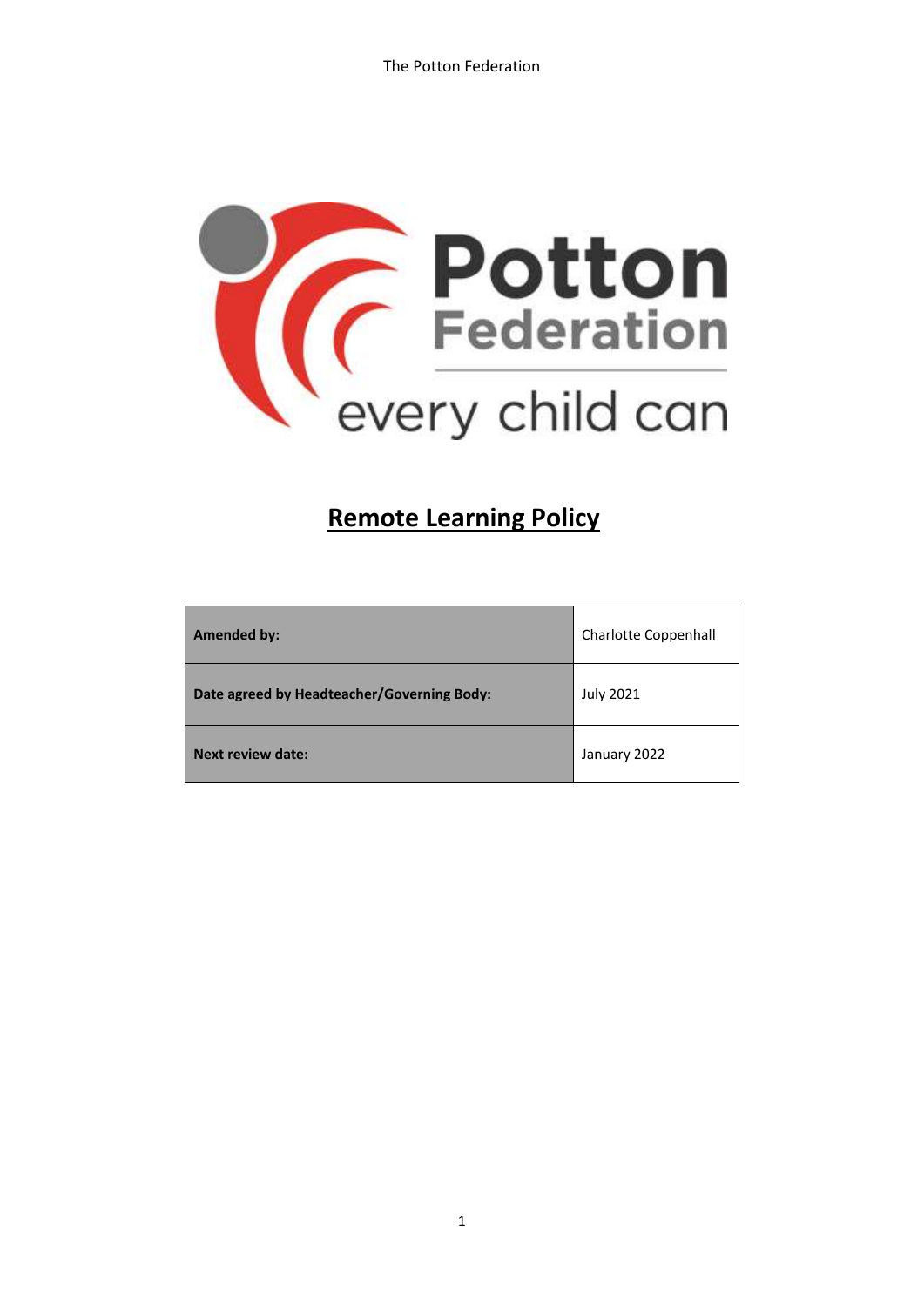

# **Remote Learning Policy**

| <b>Amended by:</b>                         | <b>Charlotte Coppenhall</b> |
|--------------------------------------------|-----------------------------|
| Date agreed by Headteacher/Governing Body: | <b>July 2021</b>            |
| <b>Next review date:</b>                   | January 2022                |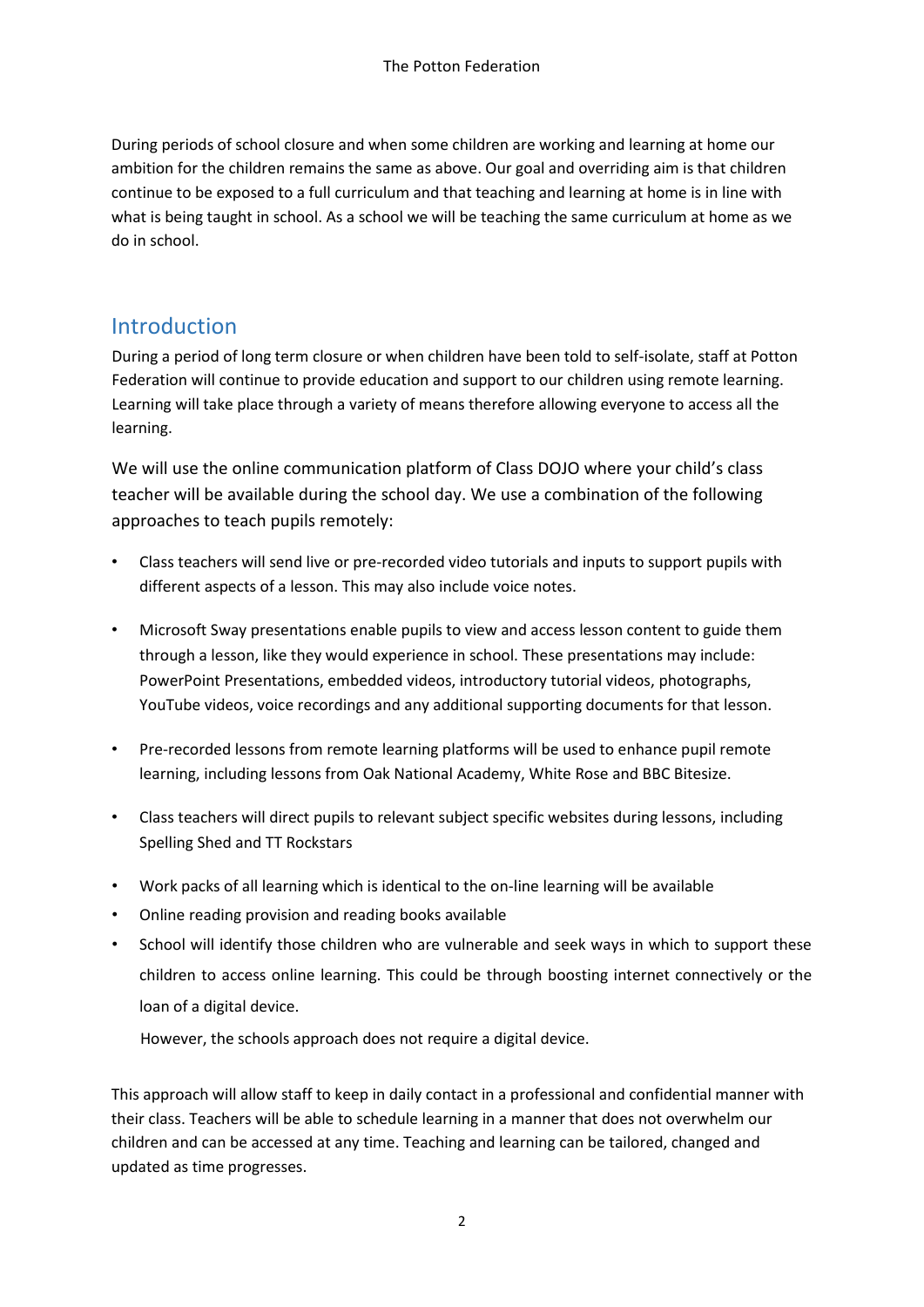During periods of school closure and when some children are working and learning at home our ambition for the children remains the same as above. Our goal and overriding aim is that children continue to be exposed to a full curriculum and that teaching and learning at home is in line with what is being taught in school. As a school we will be teaching the same curriculum at home as we do in school.

#### **Introduction**

During a period of long term closure or when children have been told to self-isolate, staff at Potton Federation will continue to provide education and support to our children using remote learning. Learning will take place through a variety of means therefore allowing everyone to access all the learning.

We will use the online communication platform of Class DOJO where your child's class teacher will be available during the school day. We use a combination of the following approaches to teach pupils remotely:

- Class teachers will send live or pre-recorded video tutorials and inputs to support pupils with different aspects of a lesson. This may also include voice notes.
- Microsoft Sway presentations enable pupils to view and access lesson content to guide them through a lesson, like they would experience in school. These presentations may include: PowerPoint Presentations, embedded videos, introductory tutorial videos, photographs, YouTube videos, voice recordings and any additional supporting documents for that lesson.
- Pre-recorded lessons from remote learning platforms will be used to enhance pupil remote learning, including lessons from Oak National Academy, White Rose and BBC Bitesize.
- Class teachers will direct pupils to relevant subject specific websites during lessons, including Spelling Shed and TT Rockstars
- Work packs of all learning which is identical to the on-line learning will be available
- Online reading provision and reading books available
- School will identify those children who are vulnerable and seek ways in which to support these children to access online learning. This could be through boosting internet connectively or the loan of a digital device.

However, the schools approach does not require a digital device.

This approach will allow staff to keep in daily contact in a professional and confidential manner with their class. Teachers will be able to schedule learning in a manner that does not overwhelm our children and can be accessed at any time. Teaching and learning can be tailored, changed and updated as time progresses.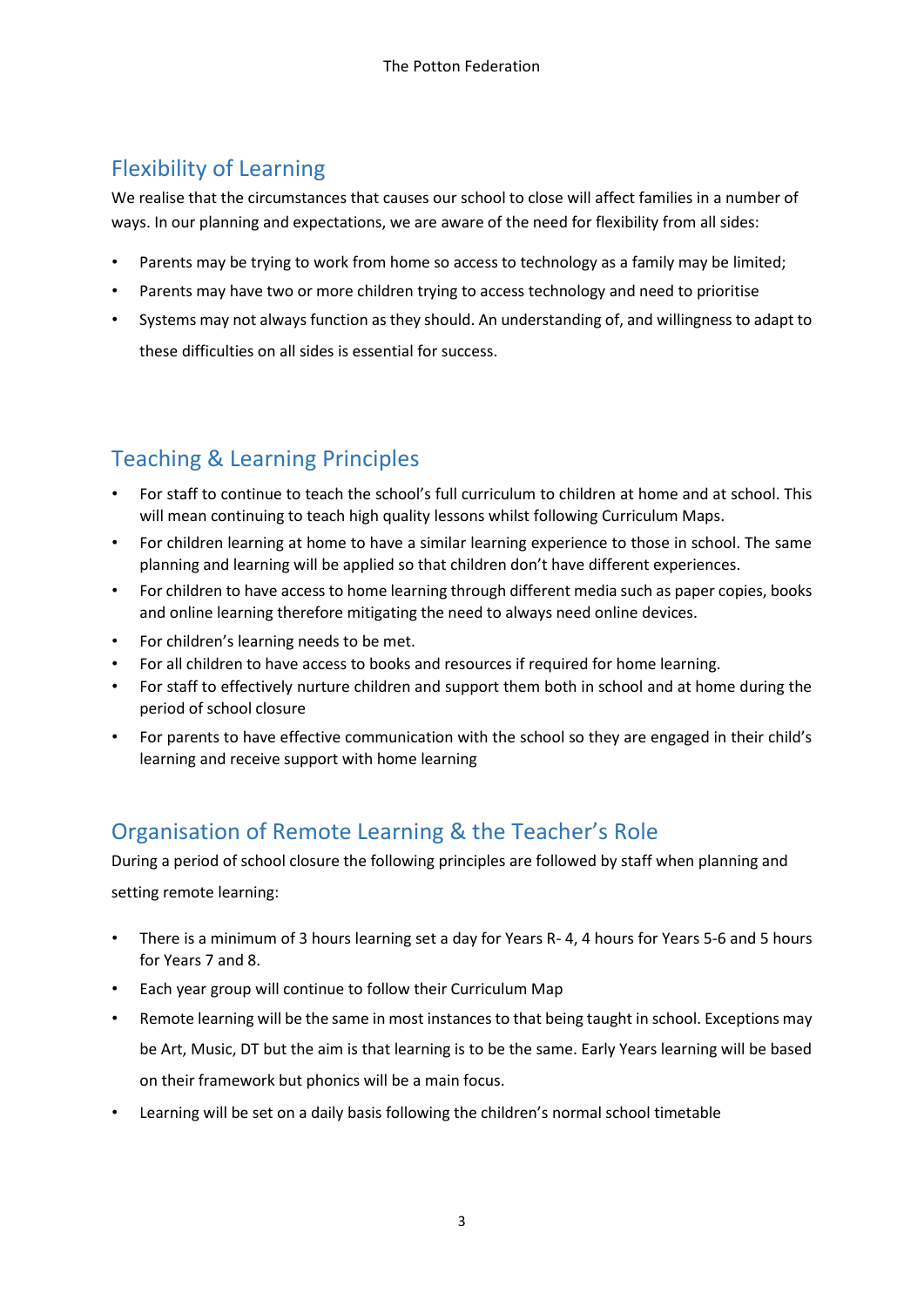### Flexibility of Learning

We realise that the circumstances that causes our school to close will affect families in a number of ways. In our planning and expectations, we are aware of the need for flexibility from all sides:

- Parents may be trying to work from home so access to technology as a family may be limited;
- Parents may have two or more children trying to access technology and need to prioritise
- Systems may not always function as they should. An understanding of, and willingness to adapt to these difficulties on all sides is essential for success.

## Teaching & Learning Principles

- For staff to continue to teach the school's full curriculum to children at home and at school. This will mean continuing to teach high quality lessons whilst following Curriculum Maps.
- For children learning at home to have a similar learning experience to those in school. The same planning and learning will be applied so that children don't have different experiences.
- For children to have access to home learning through different media such as paper copies, books and online learning therefore mitigating the need to always need online devices.
- For children's learning needs to be met.
- For all children to have access to books and resources if required for home learning.
- For staff to effectively nurture children and support them both in school and at home during the period of school closure
- For parents to have effective communication with the school so they are engaged in their child's learning and receive support with home learning

#### Organisation of Remote Learning & the Teacher's Role

During a period of school closure the following principles are followed by staff when planning and setting remote learning:

- There is a minimum of 3 hours learning set a day for Years R- 4, 4 hours for Years 5-6 and 5 hours for Years 7 and 8.
- Each year group will continue to follow their Curriculum Map
- Remote learning will be the same in most instances to that being taught in school. Exceptions may be Art, Music, DT but the aim is that learning is to be the same. Early Years learning will be based on their framework but phonics will be a main focus.
- Learning will be set on a daily basis following the children's normal school timetable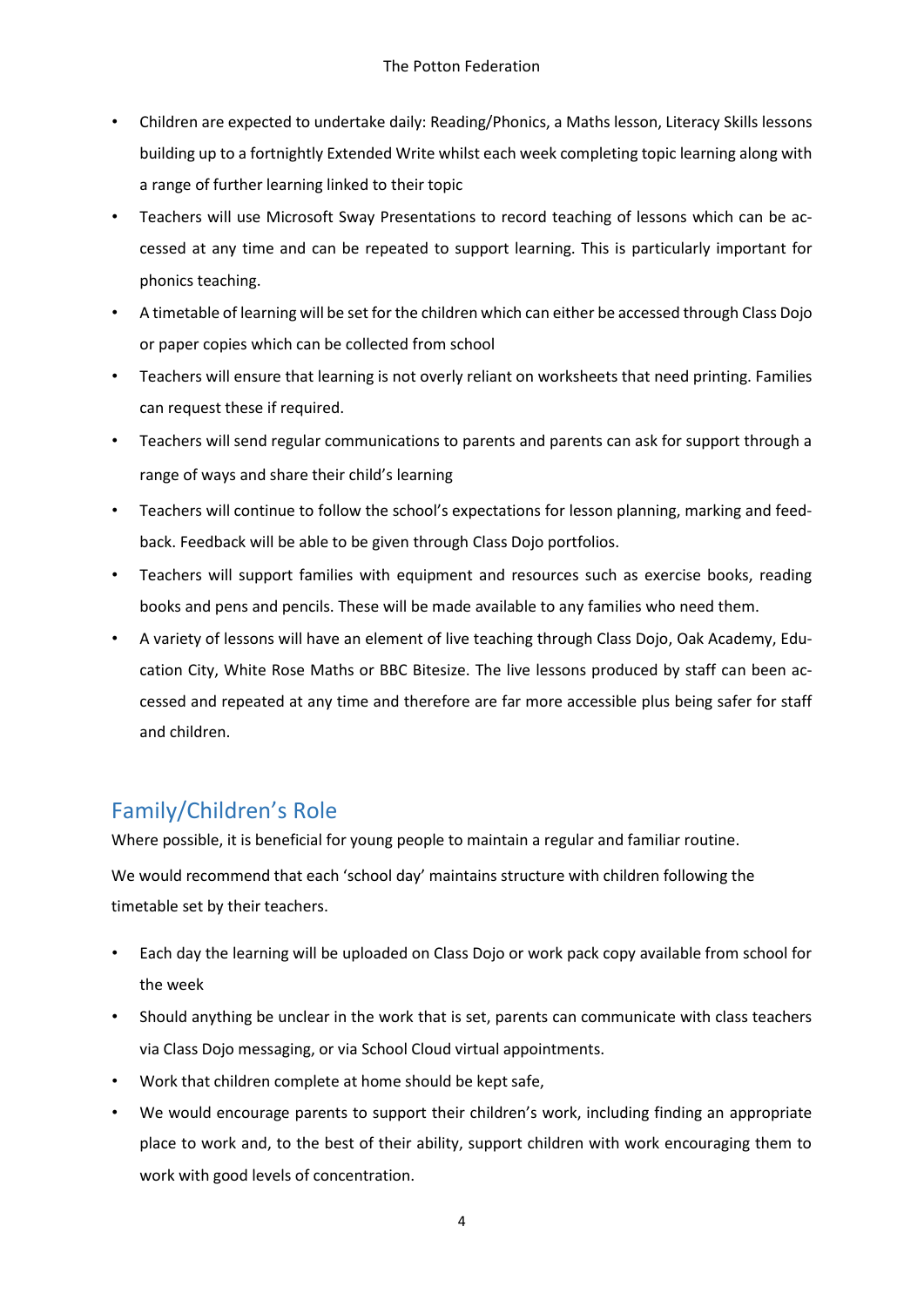- Children are expected to undertake daily: Reading/Phonics, a Maths lesson, Literacy Skills lessons building up to a fortnightly Extended Write whilst each week completing topic learning along with a range of further learning linked to their topic
- Teachers will use Microsoft Sway Presentations to record teaching of lessons which can be accessed at any time and can be repeated to support learning. This is particularly important for phonics teaching.
- A timetable of learning will be set for the children which can either be accessed through Class Dojo or paper copies which can be collected from school
- Teachers will ensure that learning is not overly reliant on worksheets that need printing. Families can request these if required.
- Teachers will send regular communications to parents and parents can ask for support through a range of ways and share their child's learning
- Teachers will continue to follow the school's expectations for lesson planning, marking and feedback. Feedback will be able to be given through Class Dojo portfolios.
- Teachers will support families with equipment and resources such as exercise books, reading books and pens and pencils. These will be made available to any families who need them.
- A variety of lessons will have an element of live teaching through Class Dojo, Oak Academy, Education City, White Rose Maths or BBC Bitesize. The live lessons produced by staff can been accessed and repeated at any time and therefore are far more accessible plus being safer for staff and children.

## Family/Children's Role

Where possible, it is beneficial for young people to maintain a regular and familiar routine.

We would recommend that each 'school day' maintains structure with children following the timetable set by their teachers.

- Each day the learning will be uploaded on Class Dojo or work pack copy available from school for the week
- Should anything be unclear in the work that is set, parents can communicate with class teachers via Class Dojo messaging, or via School Cloud virtual appointments.
- Work that children complete at home should be kept safe,
- We would encourage parents to support their children's work, including finding an appropriate place to work and, to the best of their ability, support children with work encouraging them to work with good levels of concentration.